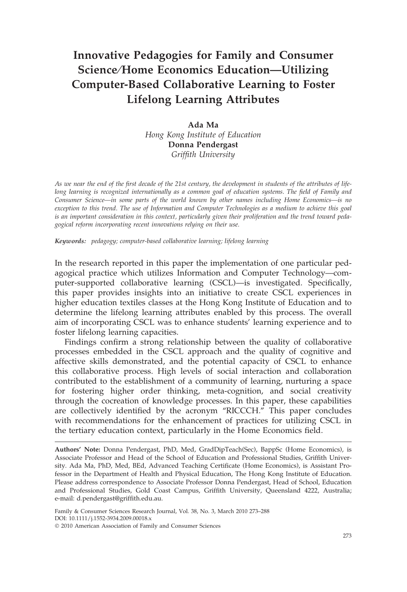# Innovative Pedagogies for Family and Consumer Science⁄Home Economics Education—Utilizing Computer-Based Collaborative Learning to Foster Lifelong Learning Attributes

Ada Ma Hong Kong Institute of Education Donna Pendergast Griffith University

As we near the end of the first decade of the 21st century, the development in students of the attributes of lifelong learning is recognized internationally as a common goal of education systems. The field of Family and Consumer Science—in some parts of the world known by other names including Home Economics—is no exception to this trend. The use of Information and Computer Technologies as a medium to achieve this goal is an important consideration in this context, particularly given their proliferation and the trend toward pedagogical reform incorporating recent innovations relying on their use.

Keywords: pedagogy; computer-based collaborative learning; lifelong learning

In the research reported in this paper the implementation of one particular pedagogical practice which utilizes Information and Computer Technology—computer-supported collaborative learning (CSCL)—is investigated. Specifically, this paper provides insights into an initiative to create CSCL experiences in higher education textiles classes at the Hong Kong Institute of Education and to determine the lifelong learning attributes enabled by this process. The overall aim of incorporating CSCL was to enhance students' learning experience and to foster lifelong learning capacities.

Findings confirm a strong relationship between the quality of collaborative processes embedded in the CSCL approach and the quality of cognitive and affective skills demonstrated, and the potential capacity of CSCL to enhance this collaborative process. High levels of social interaction and collaboration contributed to the establishment of a community of learning, nurturing a space for fostering higher order thinking, meta-cognition, and social creativity through the cocreation of knowledge processes. In this paper, these capabilities are collectively identified by the acronym ''RICCCH.'' This paper concludes with recommendations for the enhancement of practices for utilizing CSCL in the tertiary education context, particularly in the Home Economics field.

Family & Consumer Sciences Research Journal, Vol. 38, No. 3, March 2010 273–288 DOI: 10.1111/j.1552-3934.2009.00018.x - 2010 American Association of Family and Consumer Sciences

Authors' Note: Donna Pendergast, PhD, Med, GradDipTeach(Sec), BappSc (Home Economics), is Associate Professor and Head of the School of Education and Professional Studies, Griffith University. Ada Ma, PhD, Med, BEd, Advanced Teaching Certificate (Home Economics), is Assistant Professor in the Department of Health and Physical Education, The Hong Kong Institute of Education. Please address correspondence to Associate Professor Donna Pendergast, Head of School, Education and Professional Studies, Gold Coast Campus, Griffith University, Queensland 4222, Australia; e-mail: d.pendergast@griffith.edu.au.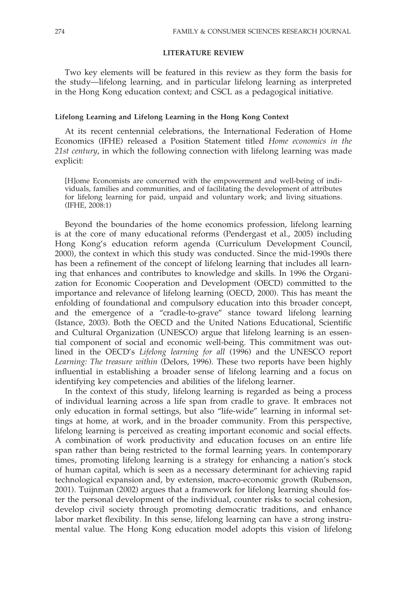## LITERATURE REVIEW

Two key elements will be featured in this review as they form the basis for the study—lifelong learning, and in particular lifelong learning as interpreted in the Hong Kong education context; and CSCL as a pedagogical initiative.

## Lifelong Learning and Lifelong Learning in the Hong Kong Context

At its recent centennial celebrations, the International Federation of Home Economics (IFHE) released a Position Statement titled Home economics in the 21st century, in which the following connection with lifelong learning was made explicit:

[H]ome Economists are concerned with the empowerment and well-being of individuals, families and communities, and of facilitating the development of attributes for lifelong learning for paid, unpaid and voluntary work; and living situations. (IFHE, 2008:1)

Beyond the boundaries of the home economics profession, lifelong learning is at the core of many educational reforms (Pendergast et al., 2005) including Hong Kong's education reform agenda (Curriculum Development Council, 2000), the context in which this study was conducted. Since the mid-1990s there has been a refinement of the concept of lifelong learning that includes all learning that enhances and contributes to knowledge and skills. In 1996 the Organization for Economic Cooperation and Development (OECD) committed to the importance and relevance of lifelong learning (OECD, 2000). This has meant the enfolding of foundational and compulsory education into this broader concept, and the emergence of a ''cradle-to-grave'' stance toward lifelong learning (Istance, 2003). Both the OECD and the United Nations Educational, Scientific and Cultural Organization (UNESCO) argue that lifelong learning is an essential component of social and economic well-being. This commitment was outlined in the OECD's Lifelong learning for all (1996) and the UNESCO report Learning: The treasure within (Delors, 1996). These two reports have been highly influential in establishing a broader sense of lifelong learning and a focus on identifying key competencies and abilities of the lifelong learner.

In the context of this study, lifelong learning is regarded as being a process of individual learning across a life span from cradle to grave. It embraces not only education in formal settings, but also "life-wide" learning in informal settings at home, at work, and in the broader community. From this perspective, lifelong learning is perceived as creating important economic and social effects. A combination of work productivity and education focuses on an entire life span rather than being restricted to the formal learning years. In contemporary times, promoting lifelong learning is a strategy for enhancing a nation's stock of human capital, which is seen as a necessary determinant for achieving rapid technological expansion and, by extension, macro-economic growth (Rubenson, 2001). Tuijnman (2002) argues that a framework for lifelong learning should foster the personal development of the individual, counter risks to social cohesion, develop civil society through promoting democratic traditions, and enhance labor market flexibility. In this sense, lifelong learning can have a strong instrumental value. The Hong Kong education model adopts this vision of lifelong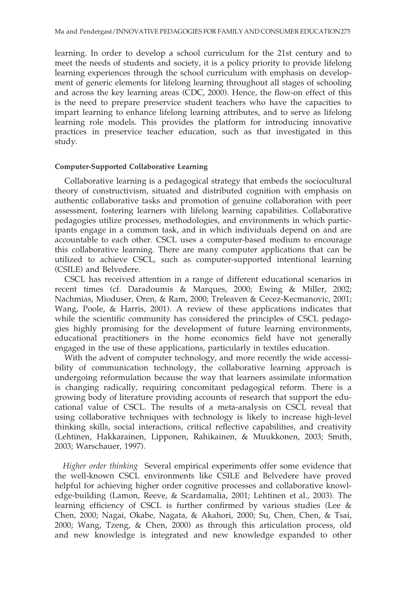learning. In order to develop a school curriculum for the 21st century and to meet the needs of students and society, it is a policy priority to provide lifelong learning experiences through the school curriculum with emphasis on development of generic elements for lifelong learning throughout all stages of schooling and across the key learning areas (CDC, 2000). Hence, the flow-on effect of this is the need to prepare preservice student teachers who have the capacities to impart learning to enhance lifelong learning attributes, and to serve as lifelong learning role models. This provides the platform for introducing innovative practices in preservice teacher education, such as that investigated in this study.

## Computer-Supported Collaborative Learning

Collaborative learning is a pedagogical strategy that embeds the sociocultural theory of constructivism, situated and distributed cognition with emphasis on authentic collaborative tasks and promotion of genuine collaboration with peer assessment, fostering learners with lifelong learning capabilities. Collaborative pedagogies utilize processes, methodologies, and environments in which participants engage in a common task, and in which individuals depend on and are accountable to each other. CSCL uses a computer-based medium to encourage this collaborative learning. There are many computer applications that can be utilized to achieve CSCL, such as computer-supported intentional learning (CSILE) and Belvedere.

CSCL has received attention in a range of different educational scenarios in recent times (cf. Daradoumis & Marques, 2000; Ewing & Miller, 2002; Nachmias, Mioduser, Oren, & Ram, 2000; Treleaven & Cecez-Kecmanovic, 2001; Wang, Poole, & Harris, 2001). A review of these applications indicates that while the scientific community has considered the principles of CSCL pedagogies highly promising for the development of future learning environments, educational practitioners in the home economics field have not generally engaged in the use of these applications, particularly in textiles education.

With the advent of computer technology, and more recently the wide accessibility of communication technology, the collaborative learning approach is undergoing reformulation because the way that learners assimilate information is changing radically, requiring concomitant pedagogical reform. There is a growing body of literature providing accounts of research that support the educational value of CSCL. The results of a meta-analysis on CSCL reveal that using collaborative techniques with technology is likely to increase high-level thinking skills, social interactions, critical reflective capabilities, and creativity (Lehtinen, Hakkarainen, Lipponen, Rahikainen, & Muukkonen, 2003; Smith, 2003; Warschauer, 1997).

Higher order thinking Several empirical experiments offer some evidence that the well-known CSCL environments like CSILE and Belvedere have proved helpful for achieving higher order cognitive processes and collaborative knowledge-building (Lamon, Reeve, & Scardamalia, 2001; Lehtinen et al., 2003). The learning efficiency of CSCL is further confirmed by various studies (Lee & Chen, 2000; Nagai, Okabe, Nagata, & Akahori, 2000; Su, Chen, Chen, & Tsai, 2000; Wang, Tzeng, & Chen, 2000) as through this articulation process, old and new knowledge is integrated and new knowledge expanded to other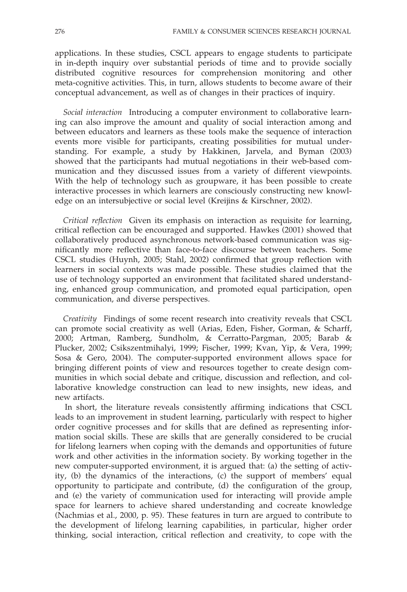applications. In these studies, CSCL appears to engage students to participate in in-depth inquiry over substantial periods of time and to provide socially distributed cognitive resources for comprehension monitoring and other meta-cognitive activities. This, in turn, allows students to become aware of their conceptual advancement, as well as of changes in their practices of inquiry.

Social interaction Introducing a computer environment to collaborative learning can also improve the amount and quality of social interaction among and between educators and learners as these tools make the sequence of interaction events more visible for participants, creating possibilities for mutual understanding. For example, a study by Hakkinen, Jarvela, and Byman (2003) showed that the participants had mutual negotiations in their web-based communication and they discussed issues from a variety of different viewpoints. With the help of technology such as groupware, it has been possible to create interactive processes in which learners are consciously constructing new knowledge on an intersubjective or social level (Kreijins & Kirschner, 2002).

Critical reflection Given its emphasis on interaction as requisite for learning, critical reflection can be encouraged and supported. Hawkes (2001) showed that collaboratively produced asynchronous network-based communication was significantly more reflective than face-to-face discourse between teachers. Some CSCL studies (Huynh, 2005; Stahl, 2002) confirmed that group reflection with learners in social contexts was made possible. These studies claimed that the use of technology supported an environment that facilitated shared understanding, enhanced group communication, and promoted equal participation, open communication, and diverse perspectives.

Creativity Findings of some recent research into creativity reveals that CSCL can promote social creativity as well (Arias, Eden, Fisher, Gorman, & Scharff, 2000; Artman, Ramberg, Sundholm, & Cerratto-Pargman, 2005; Barab & Plucker, 2002; Csikszentmihalyi, 1999; Fischer, 1999; Kvan, Yip, & Vera, 1999; Sosa & Gero, 2004). The computer-supported environment allows space for bringing different points of view and resources together to create design communities in which social debate and critique, discussion and reflection, and collaborative knowledge construction can lead to new insights, new ideas, and new artifacts.

In short, the literature reveals consistently affirming indications that CSCL leads to an improvement in student learning, particularly with respect to higher order cognitive processes and for skills that are defined as representing information social skills. These are skills that are generally considered to be crucial for lifelong learners when coping with the demands and opportunities of future work and other activities in the information society. By working together in the new computer-supported environment, it is argued that: (a) the setting of activity, (b) the dynamics of the interactions, (c) the support of members' equal opportunity to participate and contribute, (d) the configuration of the group, and (e) the variety of communication used for interacting will provide ample space for learners to achieve shared understanding and cocreate knowledge (Nachmias et al., 2000, p. 95). These features in turn are argued to contribute to the development of lifelong learning capabilities, in particular, higher order thinking, social interaction, critical reflection and creativity, to cope with the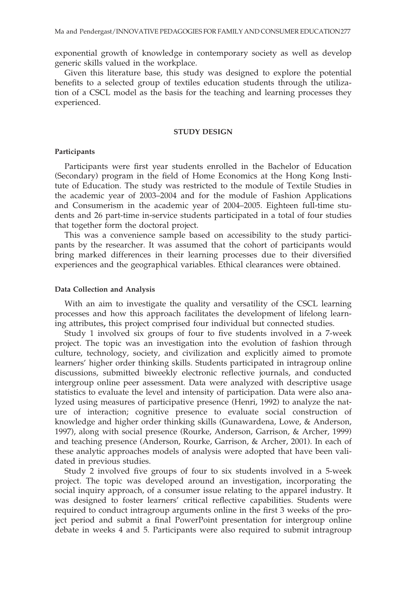exponential growth of knowledge in contemporary society as well as develop generic skills valued in the workplace.

Given this literature base, this study was designed to explore the potential benefits to a selected group of textiles education students through the utilization of a CSCL model as the basis for the teaching and learning processes they experienced.

## STUDY DESIGN

## Participants

Participants were first year students enrolled in the Bachelor of Education (Secondary) program in the field of Home Economics at the Hong Kong Institute of Education. The study was restricted to the module of Textile Studies in the academic year of 2003–2004 and for the module of Fashion Applications and Consumerism in the academic year of 2004–2005. Eighteen full-time students and 26 part-time in-service students participated in a total of four studies that together form the doctoral project.

This was a convenience sample based on accessibility to the study participants by the researcher. It was assumed that the cohort of participants would bring marked differences in their learning processes due to their diversified experiences and the geographical variables. Ethical clearances were obtained.

## Data Collection and Analysis

With an aim to investigate the quality and versatility of the CSCL learning processes and how this approach facilitates the development of lifelong learning attributes, this project comprised four individual but connected studies.

Study 1 involved six groups of four to five students involved in a 7-week project. The topic was an investigation into the evolution of fashion through culture, technology, society, and civilization and explicitly aimed to promote learners' higher order thinking skills. Students participated in intragroup online discussions, submitted biweekly electronic reflective journals, and conducted intergroup online peer assessment. Data were analyzed with descriptive usage statistics to evaluate the level and intensity of participation. Data were also analyzed using measures of participative presence (Henri, 1992) to analyze the nature of interaction; cognitive presence to evaluate social construction of knowledge and higher order thinking skills (Gunawardena, Lowe, & Anderson, 1997), along with social presence (Rourke, Anderson, Garrison, & Archer, 1999) and teaching presence (Anderson, Rourke, Garrison, & Archer, 2001). In each of these analytic approaches models of analysis were adopted that have been validated in previous studies.

Study 2 involved five groups of four to six students involved in a 5-week project. The topic was developed around an investigation, incorporating the social inquiry approach, of a consumer issue relating to the apparel industry. It was designed to foster learners' critical reflective capabilities. Students were required to conduct intragroup arguments online in the first 3 weeks of the project period and submit a final PowerPoint presentation for intergroup online debate in weeks 4 and 5. Participants were also required to submit intragroup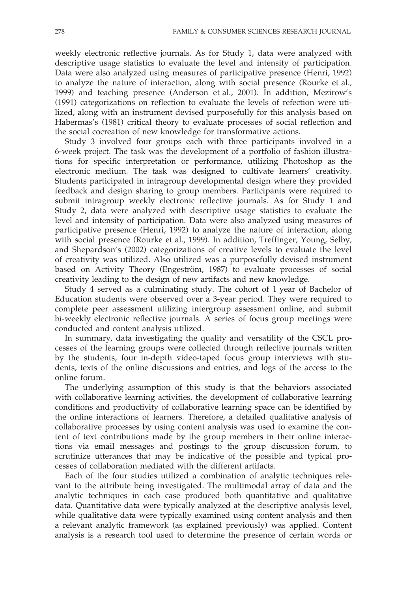weekly electronic reflective journals. As for Study 1, data were analyzed with descriptive usage statistics to evaluate the level and intensity of participation. Data were also analyzed using measures of participative presence (Henri, 1992) to analyze the nature of interaction, along with social presence (Rourke et al., 1999) and teaching presence (Anderson et al., 2001). In addition, Mezirow's (1991) categorizations on reflection to evaluate the levels of refection were utilized, along with an instrument devised purposefully for this analysis based on Habermas's (1981) critical theory to evaluate processes of social reflection and the social cocreation of new knowledge for transformative actions.

Study 3 involved four groups each with three participants involved in a 6-week project. The task was the development of a portfolio of fashion illustrations for specific interpretation or performance, utilizing Photoshop as the electronic medium. The task was designed to cultivate learners' creativity. Students participated in intragroup developmental design where they provided feedback and design sharing to group members. Participants were required to submit intragroup weekly electronic reflective journals. As for Study 1 and Study 2, data were analyzed with descriptive usage statistics to evaluate the level and intensity of participation. Data were also analyzed using measures of participative presence (Henri, 1992) to analyze the nature of interaction, along with social presence (Rourke et al., 1999). In addition, Treffinger, Young, Selby, and Shepardson's (2002) categorizations of creative levels to evaluate the level of creativity was utilized. Also utilized was a purposefully devised instrument based on Activity Theory (Engeström, 1987) to evaluate processes of social creativity leading to the design of new artifacts and new knowledge.

Study 4 served as a culminating study. The cohort of 1 year of Bachelor of Education students were observed over a 3-year period. They were required to complete peer assessment utilizing intergroup assessment online, and submit bi-weekly electronic reflective journals. A series of focus group meetings were conducted and content analysis utilized.

In summary, data investigating the quality and versatility of the CSCL processes of the learning groups were collected through reflective journals written by the students, four in-depth video-taped focus group interviews with students, texts of the online discussions and entries, and logs of the access to the online forum.

The underlying assumption of this study is that the behaviors associated with collaborative learning activities, the development of collaborative learning conditions and productivity of collaborative learning space can be identified by the online interactions of learners. Therefore, a detailed qualitative analysis of collaborative processes by using content analysis was used to examine the content of text contributions made by the group members in their online interactions via email messages and postings to the group discussion forum, to scrutinize utterances that may be indicative of the possible and typical processes of collaboration mediated with the different artifacts.

Each of the four studies utilized a combination of analytic techniques relevant to the attribute being investigated. The multimodal array of data and the analytic techniques in each case produced both quantitative and qualitative data. Quantitative data were typically analyzed at the descriptive analysis level, while qualitative data were typically examined using content analysis and then a relevant analytic framework (as explained previously) was applied. Content analysis is a research tool used to determine the presence of certain words or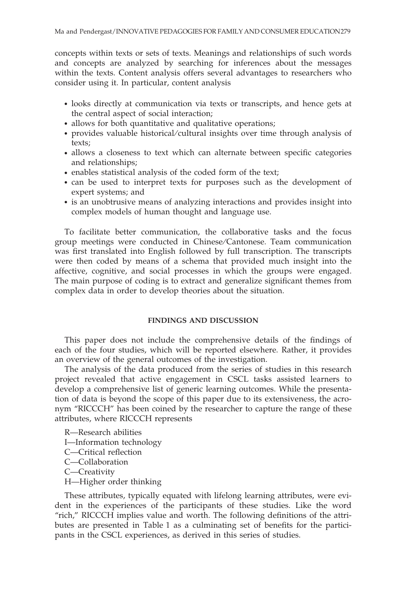concepts within texts or sets of texts. Meanings and relationships of such words and concepts are analyzed by searching for inferences about the messages within the texts. Content analysis offers several advantages to researchers who consider using it. In particular, content analysis

- looks directly at communication via texts or transcripts, and hence gets at the central aspect of social interaction;
- allows for both quantitative and qualitative operations;
- provides valuable historical/cultural insights over time through analysis of texts;
- allows a closeness to text which can alternate between specific categories and relationships;
- enables statistical analysis of the coded form of the text;
- can be used to interpret texts for purposes such as the development of expert systems; and
- is an unobtrusive means of analyzing interactions and provides insight into complex models of human thought and language use.

To facilitate better communication, the collaborative tasks and the focus group meetings were conducted in Chinese/Cantonese. Team communication was first translated into English followed by full transcription. The transcripts were then coded by means of a schema that provided much insight into the affective, cognitive, and social processes in which the groups were engaged. The main purpose of coding is to extract and generalize significant themes from complex data in order to develop theories about the situation.

## FINDINGS AND DISCUSSION

This paper does not include the comprehensive details of the findings of each of the four studies, which will be reported elsewhere. Rather, it provides an overview of the general outcomes of the investigation.

The analysis of the data produced from the series of studies in this research project revealed that active engagement in CSCL tasks assisted learners to develop a comprehensive list of generic learning outcomes. While the presentation of data is beyond the scope of this paper due to its extensiveness, the acronym "RICCCH" has been coined by the researcher to capture the range of these attributes, where RICCCH represents

R—Research abilities

- I—Information technology
- C—Critical reflection
- C—Collaboration
- C—Creativity
- H—Higher order thinking

These attributes, typically equated with lifelong learning attributes, were evident in the experiences of the participants of these studies. Like the word "rich," RICCCH implies value and worth. The following definitions of the attributes are presented in Table 1 as a culminating set of benefits for the participants in the CSCL experiences, as derived in this series of studies.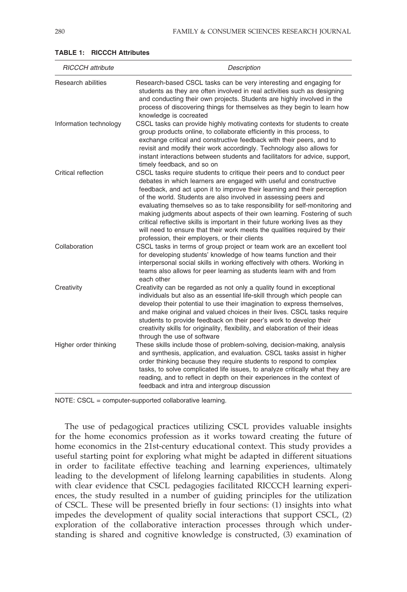| <b>RICCCH</b> attribute   | <b>Description</b>                                                                                                                                                                                                                                                                                                                                                                                                                                                                                                                                                                                                                                                   |
|---------------------------|----------------------------------------------------------------------------------------------------------------------------------------------------------------------------------------------------------------------------------------------------------------------------------------------------------------------------------------------------------------------------------------------------------------------------------------------------------------------------------------------------------------------------------------------------------------------------------------------------------------------------------------------------------------------|
| <b>Research abilities</b> | Research-based CSCL tasks can be very interesting and engaging for<br>students as they are often involved in real activities such as designing<br>and conducting their own projects. Students are highly involved in the<br>process of discovering things for themselves as they begin to learn how<br>knowledge is cocreated                                                                                                                                                                                                                                                                                                                                        |
| Information technology    | CSCL tasks can provide highly motivating contexts for students to create<br>group products online, to collaborate efficiently in this process, to<br>exchange critical and constructive feedback with their peers, and to<br>revisit and modify their work accordingly. Technology also allows for<br>instant interactions between students and facilitators for advice, support,<br>timely feedback, and so on                                                                                                                                                                                                                                                      |
| Critical reflection       | CSCL tasks require students to critique their peers and to conduct peer<br>debates in which learners are engaged with useful and constructive<br>feedback, and act upon it to improve their learning and their perception<br>of the world. Students are also involved in assessing peers and<br>evaluating themselves so as to take responsibility for self-monitoring and<br>making judgments about aspects of their own learning. Fostering of such<br>critical reflective skills is important in their future working lives as they<br>will need to ensure that their work meets the qualities required by their<br>profession, their employers, or their clients |
| Collaboration             | CSCL tasks in terms of group project or team work are an excellent tool<br>for developing students' knowledge of how teams function and their<br>interpersonal social skills in working effectively with others. Working in<br>teams also allows for peer learning as students learn with and from<br>each other                                                                                                                                                                                                                                                                                                                                                     |
| Creativity                | Creativity can be regarded as not only a quality found in exceptional<br>individuals but also as an essential life-skill through which people can<br>develop their potential to use their imagination to express themselves,<br>and make original and valued choices in their lives. CSCL tasks require<br>students to provide feedback on their peer's work to develop their<br>creativity skills for originality, flexibility, and elaboration of their ideas<br>through the use of software                                                                                                                                                                       |
| Higher order thinking     | These skills include those of problem-solving, decision-making, analysis<br>and synthesis, application, and evaluation. CSCL tasks assist in higher<br>order thinking because they require students to respond to complex<br>tasks, to solve complicated life issues, to analyze critically what they are<br>reading, and to reflect in depth on their experiences in the context of<br>feedback and intra and intergroup discussion                                                                                                                                                                                                                                 |

TABLE 1: RICCCH Attributes

NOTE: CSCL = computer-supported collaborative learning.

The use of pedagogical practices utilizing CSCL provides valuable insights for the home economics profession as it works toward creating the future of home economics in the 21st-century educational context. This study provides a useful starting point for exploring what might be adapted in different situations in order to facilitate effective teaching and learning experiences, ultimately leading to the development of lifelong learning capabilities in students. Along with clear evidence that CSCL pedagogies facilitated RICCCH learning experiences, the study resulted in a number of guiding principles for the utilization of CSCL. These will be presented briefly in four sections: (1) insights into what impedes the development of quality social interactions that support CSCL, (2) exploration of the collaborative interaction processes through which understanding is shared and cognitive knowledge is constructed, (3) examination of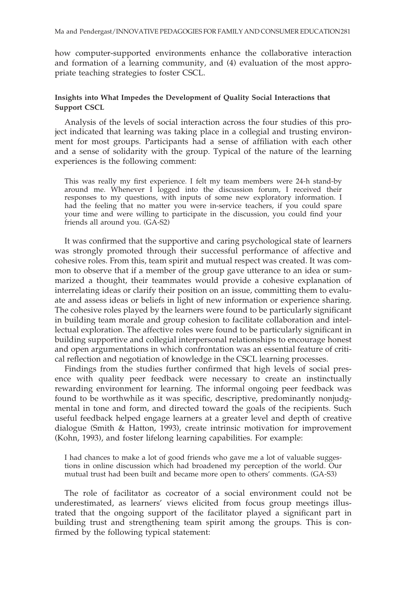how computer-supported environments enhance the collaborative interaction and formation of a learning community, and (4) evaluation of the most appropriate teaching strategies to foster CSCL.

# Insights into What Impedes the Development of Quality Social Interactions that Support CSCL

Analysis of the levels of social interaction across the four studies of this project indicated that learning was taking place in a collegial and trusting environment for most groups. Participants had a sense of affiliation with each other and a sense of solidarity with the group. Typical of the nature of the learning experiences is the following comment:

This was really my first experience. I felt my team members were 24-h stand-by around me. Whenever I logged into the discussion forum, I received their responses to my questions, with inputs of some new exploratory information. I had the feeling that no matter you were in-service teachers, if you could spare your time and were willing to participate in the discussion, you could find your friends all around you. (GA-S2)

It was confirmed that the supportive and caring psychological state of learners was strongly promoted through their successful performance of affective and cohesive roles. From this, team spirit and mutual respect was created. It was common to observe that if a member of the group gave utterance to an idea or summarized a thought, their teammates would provide a cohesive explanation of interrelating ideas or clarify their position on an issue, committing them to evaluate and assess ideas or beliefs in light of new information or experience sharing. The cohesive roles played by the learners were found to be particularly significant in building team morale and group cohesion to facilitate collaboration and intellectual exploration. The affective roles were found to be particularly significant in building supportive and collegial interpersonal relationships to encourage honest and open argumentations in which confrontation was an essential feature of critical reflection and negotiation of knowledge in the CSCL learning processes.

Findings from the studies further confirmed that high levels of social presence with quality peer feedback were necessary to create an instinctually rewarding environment for learning. The informal ongoing peer feedback was found to be worthwhile as it was specific, descriptive, predominantly nonjudgmental in tone and form, and directed toward the goals of the recipients. Such useful feedback helped engage learners at a greater level and depth of creative dialogue (Smith & Hatton, 1993), create intrinsic motivation for improvement (Kohn, 1993), and foster lifelong learning capabilities. For example:

I had chances to make a lot of good friends who gave me a lot of valuable suggestions in online discussion which had broadened my perception of the world. Our mutual trust had been built and became more open to others' comments. (GA-S3)

The role of facilitator as cocreator of a social environment could not be underestimated, as learners' views elicited from focus group meetings illustrated that the ongoing support of the facilitator played a significant part in building trust and strengthening team spirit among the groups. This is confirmed by the following typical statement: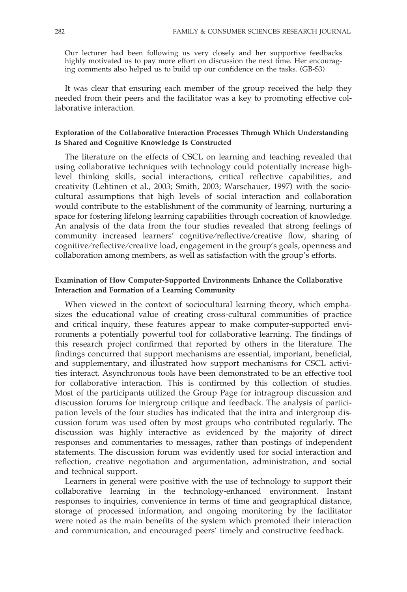Our lecturer had been following us very closely and her supportive feedbacks highly motivated us to pay more effort on discussion the next time. Her encouraging comments also helped us to build up our confidence on the tasks. (GB-S3)

It was clear that ensuring each member of the group received the help they needed from their peers and the facilitator was a key to promoting effective collaborative interaction.

## Exploration of the Collaborative Interaction Processes Through Which Understanding Is Shared and Cognitive Knowledge Is Constructed

The literature on the effects of CSCL on learning and teaching revealed that using collaborative techniques with technology could potentially increase highlevel thinking skills, social interactions, critical reflective capabilities, and creativity (Lehtinen et al., 2003; Smith, 2003; Warschauer, 1997) with the sociocultural assumptions that high levels of social interaction and collaboration would contribute to the establishment of the community of learning, nurturing a space for fostering lifelong learning capabilities through cocreation of knowledge. An analysis of the data from the four studies revealed that strong feelings of community increased learners' cognitive/reflective/creative flow, sharing of cognitive ⁄reflective ⁄ creative load, engagement in the group's goals, openness and collaboration among members, as well as satisfaction with the group's efforts.

# Examination of How Computer-Supported Environments Enhance the Collaborative Interaction and Formation of a Learning Community

When viewed in the context of sociocultural learning theory, which emphasizes the educational value of creating cross-cultural communities of practice and critical inquiry, these features appear to make computer-supported environments a potentially powerful tool for collaborative learning. The findings of this research project confirmed that reported by others in the literature. The findings concurred that support mechanisms are essential, important, beneficial, and supplementary, and illustrated how support mechanisms for CSCL activities interact. Asynchronous tools have been demonstrated to be an effective tool for collaborative interaction. This is confirmed by this collection of studies. Most of the participants utilized the Group Page for intragroup discussion and discussion forums for intergroup critique and feedback. The analysis of participation levels of the four studies has indicated that the intra and intergroup discussion forum was used often by most groups who contributed regularly. The discussion was highly interactive as evidenced by the majority of direct responses and commentaries to messages, rather than postings of independent statements. The discussion forum was evidently used for social interaction and reflection, creative negotiation and argumentation, administration, and social and technical support.

Learners in general were positive with the use of technology to support their collaborative learning in the technology-enhanced environment. Instant responses to inquiries, convenience in terms of time and geographical distance, storage of processed information, and ongoing monitoring by the facilitator were noted as the main benefits of the system which promoted their interaction and communication, and encouraged peers' timely and constructive feedback.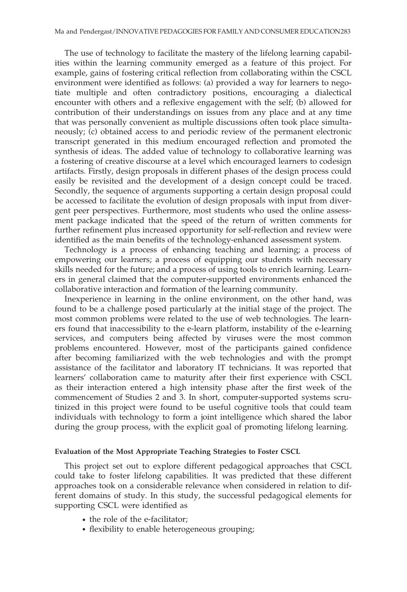The use of technology to facilitate the mastery of the lifelong learning capabilities within the learning community emerged as a feature of this project. For example, gains of fostering critical reflection from collaborating within the CSCL environment were identified as follows: (a) provided a way for learners to negotiate multiple and often contradictory positions, encouraging a dialectical encounter with others and a reflexive engagement with the self; (b) allowed for contribution of their understandings on issues from any place and at any time that was personally convenient as multiple discussions often took place simultaneously; (c) obtained access to and periodic review of the permanent electronic transcript generated in this medium encouraged reflection and promoted the synthesis of ideas. The added value of technology to collaborative learning was a fostering of creative discourse at a level which encouraged learners to codesign artifacts. Firstly, design proposals in different phases of the design process could easily be revisited and the development of a design concept could be traced. Secondly, the sequence of arguments supporting a certain design proposal could be accessed to facilitate the evolution of design proposals with input from divergent peer perspectives. Furthermore, most students who used the online assessment package indicated that the speed of the return of written comments for further refinement plus increased opportunity for self-reflection and review were identified as the main benefits of the technology-enhanced assessment system.

Technology is a process of enhancing teaching and learning; a process of empowering our learners; a process of equipping our students with necessary skills needed for the future; and a process of using tools to enrich learning. Learners in general claimed that the computer-supported environments enhanced the collaborative interaction and formation of the learning community.

Inexperience in learning in the online environment, on the other hand, was found to be a challenge posed particularly at the initial stage of the project. The most common problems were related to the use of web technologies. The learners found that inaccessibility to the e-learn platform, instability of the e-learning services, and computers being affected by viruses were the most common problems encountered. However, most of the participants gained confidence after becoming familiarized with the web technologies and with the prompt assistance of the facilitator and laboratory IT technicians. It was reported that learners' collaboration came to maturity after their first experience with CSCL as their interaction entered a high intensity phase after the first week of the commencement of Studies 2 and 3. In short, computer-supported systems scrutinized in this project were found to be useful cognitive tools that could team individuals with technology to form a joint intelligence which shared the labor during the group process, with the explicit goal of promoting lifelong learning.

## Evaluation of the Most Appropriate Teaching Strategies to Foster CSCL

This project set out to explore different pedagogical approaches that CSCL could take to foster lifelong capabilities. It was predicted that these different approaches took on a considerable relevance when considered in relation to different domains of study. In this study, the successful pedagogical elements for supporting CSCL were identified as

- the role of the e-facilitator;
- flexibility to enable heterogeneous grouping;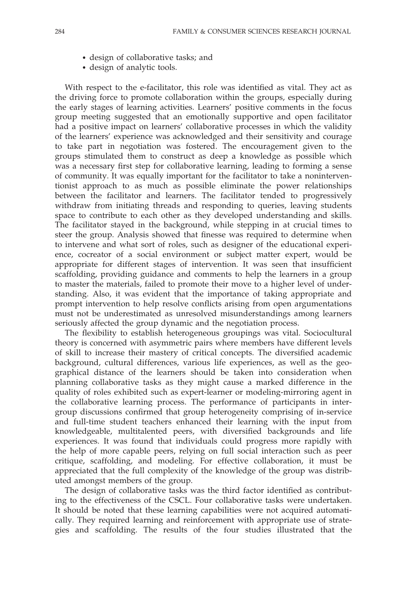- design of collaborative tasks; and
- design of analytic tools.

With respect to the e-facilitator, this role was identified as vital. They act as the driving force to promote collaboration within the groups, especially during the early stages of learning activities. Learners' positive comments in the focus group meeting suggested that an emotionally supportive and open facilitator had a positive impact on learners' collaborative processes in which the validity of the learners' experience was acknowledged and their sensitivity and courage to take part in negotiation was fostered. The encouragement given to the groups stimulated them to construct as deep a knowledge as possible which was a necessary first step for collaborative learning, leading to forming a sense of community. It was equally important for the facilitator to take a noninterventionist approach to as much as possible eliminate the power relationships between the facilitator and learners. The facilitator tended to progressively withdraw from initiating threads and responding to queries, leaving students space to contribute to each other as they developed understanding and skills. The facilitator stayed in the background, while stepping in at crucial times to steer the group. Analysis showed that finesse was required to determine when to intervene and what sort of roles, such as designer of the educational experience, cocreator of a social environment or subject matter expert, would be appropriate for different stages of intervention. It was seen that insufficient scaffolding, providing guidance and comments to help the learners in a group to master the materials, failed to promote their move to a higher level of understanding. Also, it was evident that the importance of taking appropriate and prompt intervention to help resolve conflicts arising from open argumentations must not be underestimated as unresolved misunderstandings among learners seriously affected the group dynamic and the negotiation process.

The flexibility to establish heterogeneous groupings was vital. Sociocultural theory is concerned with asymmetric pairs where members have different levels of skill to increase their mastery of critical concepts. The diversified academic background, cultural differences, various life experiences, as well as the geographical distance of the learners should be taken into consideration when planning collaborative tasks as they might cause a marked difference in the quality of roles exhibited such as expert-learner or modeling-mirroring agent in the collaborative learning process. The performance of participants in intergroup discussions confirmed that group heterogeneity comprising of in-service and full-time student teachers enhanced their learning with the input from knowledgeable, multitalented peers, with diversified backgrounds and life experiences. It was found that individuals could progress more rapidly with the help of more capable peers, relying on full social interaction such as peer critique, scaffolding, and modeling. For effective collaboration, it must be appreciated that the full complexity of the knowledge of the group was distributed amongst members of the group.

The design of collaborative tasks was the third factor identified as contributing to the effectiveness of the CSCL. Four collaborative tasks were undertaken. It should be noted that these learning capabilities were not acquired automatically. They required learning and reinforcement with appropriate use of strategies and scaffolding. The results of the four studies illustrated that the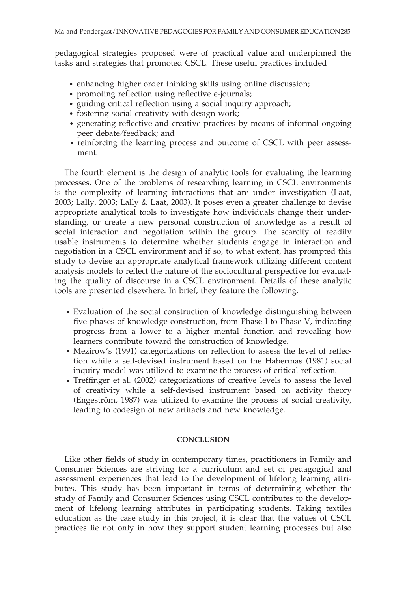pedagogical strategies proposed were of practical value and underpinned the tasks and strategies that promoted CSCL. These useful practices included

- enhancing higher order thinking skills using online discussion;
- promoting reflection using reflective e-journals;
- guiding critical reflection using a social inquiry approach;
- fostering social creativity with design work;
- generating reflective and creative practices by means of informal ongoing peer debate/feedback; and
- reinforcing the learning process and outcome of CSCL with peer assessment.

The fourth element is the design of analytic tools for evaluating the learning processes. One of the problems of researching learning in CSCL environments is the complexity of learning interactions that are under investigation (Laat, 2003; Lally, 2003; Lally & Laat, 2003). It poses even a greater challenge to devise appropriate analytical tools to investigate how individuals change their understanding, or create a new personal construction of knowledge as a result of social interaction and negotiation within the group. The scarcity of readily usable instruments to determine whether students engage in interaction and negotiation in a CSCL environment and if so, to what extent, has prompted this study to devise an appropriate analytical framework utilizing different content analysis models to reflect the nature of the sociocultural perspective for evaluating the quality of discourse in a CSCL environment. Details of these analytic tools are presented elsewhere. In brief, they feature the following.

- Evaluation of the social construction of knowledge distinguishing between five phases of knowledge construction, from Phase I to Phase V, indicating progress from a lower to a higher mental function and revealing how learners contribute toward the construction of knowledge.
- Mezirow's (1991) categorizations on reflection to assess the level of reflection while a self-devised instrument based on the Habermas (1981) social inquiry model was utilized to examine the process of critical reflection.
- Treffinger et al. (2002) categorizations of creative levels to assess the level of creativity while a self-devised instrument based on activity theory (Engeström, 1987) was utilized to examine the process of social creativity, leading to codesign of new artifacts and new knowledge.

# **CONCLUSION**

Like other fields of study in contemporary times, practitioners in Family and Consumer Sciences are striving for a curriculum and set of pedagogical and assessment experiences that lead to the development of lifelong learning attributes. This study has been important in terms of determining whether the study of Family and Consumer Sciences using CSCL contributes to the development of lifelong learning attributes in participating students. Taking textiles education as the case study in this project, it is clear that the values of CSCL practices lie not only in how they support student learning processes but also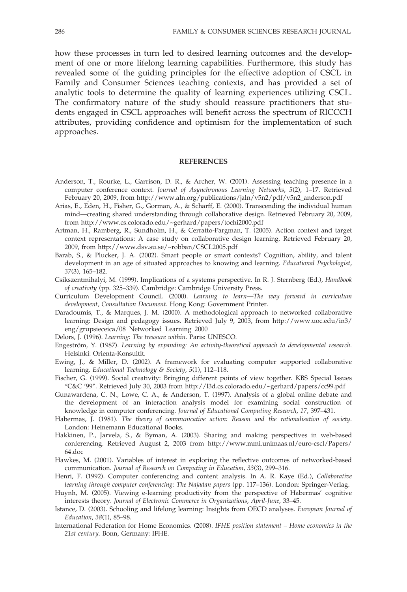how these processes in turn led to desired learning outcomes and the development of one or more lifelong learning capabilities. Furthermore, this study has revealed some of the guiding principles for the effective adoption of CSCL in Family and Consumer Sciences teaching contexts, and has provided a set of analytic tools to determine the quality of learning experiences utilizing CSCL. The confirmatory nature of the study should reassure practitioners that students engaged in CSCL approaches will benefit across the spectrum of RICCCH attributes, providing confidence and optimism for the implementation of such approaches.

## REFERENCES

- Anderson, T., Rourke, L., Garrison, D. R., & Archer, W. (2001). Assessing teaching presence in a computer conference context. Journal of Asynchronous Learning Networks, 5(2), 1–17. Retrieved February 20, 2009, from http://www.aln.org/publications/jaln/v5n2/pdf/v5n2\_anderson.pdf
- Arias, E., Eden, H., Fisher, G., Gorman, A., & Scharff, E. (2000). Transcending the individual human mind—creating shared understanding through collaborative design. Retrieved February 20, 2009, from http://www.cs.colorado.edu/~gerhard/papers/tochi2000.pdf
- Artman, H., Ramberg, R., Sundholm, H., & Cerratto-Pargman, T. (2005). Action context and target context representations: A case study on collaborative design learning. Retrieved February 20, 2009, from http://www.dsv.su.se/~robban/CSCL2005.pdf
- Barab, S., & Plucker, J. A. (2002). Smart people or smart contexts? Cognition, ability, and talent development in an age of situated approaches to knowing and learning. Educational Psychologist, 37(3), 165–182.
- Csikszentmihalyi, M. (1999). Implications of a systems perspective. In R. J. Sternberg (Ed.), Handbook of creativity (pp. 325–339). Cambridge: Cambridge University Press.
- Curriculum Development Council. (2000). Learning to learn—The way forward in curriculum development, Consultation Document. Hong Kong: Government Printer.
- Daradoumis, T., & Marques, J. M. (2000). A methodological approach to networked collaborative learning: Design and pedagogy issues. Retrieved July 9, 2003, from http://www.uoc.edu/in3/ eng/grupsieceica/08\_Networked\_Learning\_2000
- Delors, J. (1996). Learning: The treasure within. Paris: UNESCO.
- Engeström, Y. (1987). Learning by expanding: An activity-theoretical approach to developmental research. Helsinki: Orienta-Konsultit.
- Ewing, J., & Miller, D. (2002). A framework for evaluating computer supported collaborative learning. Educational Technology & Society, 5(1), 112-118.
- Fischer, G. (1999). Social creativity: Bringing different points of view together. KBS Special Issues ''C&C '99''. Retrieved July 30, 2003 from http://l3d.cs.colorado.edu/~gerhard/papers/cc99.pdf
- Gunawardena, C. N., Lowe, C. A., & Anderson, T. (1997). Analysis of a global online debate and the development of an interaction analysis model for examining social construction of knowledge in computer conferencing. Journal of Educational Computing Research, 17, 397–431.
- Habermas, J. (1981). The theory of communicative action: Reason and the rationalisation of society. London: Heinemann Educational Books.
- Hakkinen, P., Jarvela, S., & Byman, A. (2003). Sharing and making perspectives in web-based conferencing. Retrieved August 2, 2003 from http://www.mmi.unimaas.nl/euro-cscl/Papers/ 64.doc
- Hawkes, M. (2001). Variables of interest in exploring the reflective outcomes of networked-based communication. Journal of Research on Computing in Education, 33(3), 299–316.
- Henri, F. (1992). Computer conferencing and content analysis. In A. R. Kaye (Ed.), Collaborative learning through computer conferencing: The Najadan papers (pp. 117–136). London: Springer-Verlag.
- Huynh, M. (2005). Viewing e-learning productivity from the perspective of Habermas' cognitive interests theory. Journal of Electronic Commerce in Organizations, April-June, 33–45.
- Istance, D. (2003). Schooling and lifelong learning: Insights from OECD analyses. European Journal of Education, 38(1), 85–98.
- International Federation for Home Economics. (2008). IFHE position statement Home economics in the 21st century. Bonn, Germany: IFHE.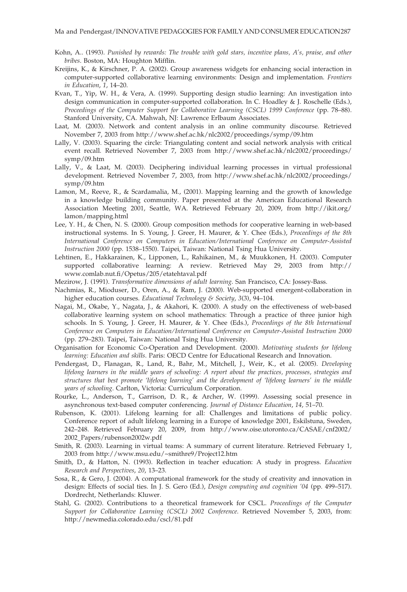- Kohn, A.. (1993). Punished by rewards: The trouble with gold stars, incentive plans, A's, praise, and other bribes. Boston, MA: Houghton Mifflin.
- Kreijins, K., & Kirschner, P. A. (2002). Group awareness widgets for enhancing social interaction in computer-supported collaborative learning environments: Design and implementation. Frontiers in Education, 1, 14–20.
- Kvan, T., Yip, W. H., & Vera, A. (1999). Supporting design studio learning: An investigation into design communication in computer-supported collaboration. In C. Hoadley & J. Roschelle (Eds.), Proceedings of the Computer Support for Collaborative Learning (CSCL) 1999 Conference (pp. 78–88). Stanford University, CA. Mahwah, NJ: Lawrence Erlbaum Associates.
- Laat, M. (2003). Network and content analysis in an online community discourse. Retrieved November 7, 2003 from http://www.shef.ac.hk/nlc2002/proceedings/symp/09.htm
- Lally, V. (2003). Squaring the circle: Triangulating content and social network analysis with critical event recall. Retrieved November 7, 2003 from http://www.shef.ac.hk/nlc2002/proceedings/ symp/09.htm
- Lally, V., & Laat, M. (2003). Deciphering individual learning processes in virtual professional development. Retrieved November 7, 2003, from http://www.shef.ac.hk/nlc2002/proceedings/ symp/09.htm
- Lamon, M., Reeve, R., & Scardamalia, M., (2001). Mapping learning and the growth of knowledge in a knowledge building community. Paper presented at the American Educational Research Association Meeting 2001, Seattle, WA. Retrieved February 20, 2009, from http://ikit.org/ lamon/mapping.html
- Lee, Y. H., & Chen, N. S. (2000). Group composition methods for cooperative learning in web-based instructional systems. In S. Young, J. Greer, H. Maurer, & Y. Chee (Eds.), Proceedings of the 8th International Conference on Computers in Education ⁄ International Conference on Computer-Assisted Instruction 2000 (pp. 1538–1550). Taipei, Taiwan: National Tsing Hua University.
- Lehtinen, E., Hakkarainen, K., Lipponen, L., Rahikainen, M., & Muukkonen, H. (2003). Computer supported collaborative learning: A review. Retrieved May 29, 2003 from http:// www.comlab.nut.fi/Opetus/205/etatehtaval.pdf
- Mezirow, J. (1991). Transformative dimensions of adult learning. San Francisco, CA: Jossey-Bass.
- Nachmias, R., Mioduser, D., Oren, A., & Ram, J. (2000). Web-supported emergent-collaboration in higher education courses. Educational Technology & Society, 3(3), 94-104.
- Nagai, M., Okabe, Y., Nagata, J., & Akahori, K. (2000). A study on the effectiveness of web-based collaborative learning system on school mathematics: Through a practice of three junior high schools. In S. Young, J. Greer, H. Maurer, & Y. Chee (Eds.), Proceedings of the 8th International Conference on Computers in Education/International Conference on Computer-Assisted Instruction 2000 (pp. 279–283). Taipei, Taiwan: National Tsing Hua University.
- Organisation for Economic Co-Operation and Development. (2000). Motivating students for lifelong learning: Education and skills. Paris: OECD Centre for Educational Research and Innovation.
- Pendergast, D., Flanagan, R., Land, R., Bahr, M., Mitchell, J., Weir, K., et al. (2005). Developing lifelong learners in the middle years of schooling: A report about the practices, processes, strategies and structures that best promote 'lifelong learning' and the development of 'lifelong learners' in the middle years of schooling. Carlton, Victoria: Curriculum Corporation.
- Rourke, L., Anderson, T., Garrison, D. R., & Archer, W. (1999). Assessing social presence in asynchronous text-based computer conferencing. Journal of Distance Education, 14, 51–70.
- Rubenson, K. (2001). Lifelong learning for all: Challenges and limitations of public policy. Conference report of adult lifelong learning in a Europe of knowledge 2001, Eskilstuna, Sweden, 242–248. Retrieved February 20, 2009, from http://www.oise.utoronto.ca/CASAE/cnf2002/ 2002\_Papers/rubenson2002w.pdf
- Smith, R. (2003). Learning in virtual teams: A summary of current literature. Retrieved February 1, 2003 from http://www.msu.edu/~smithre9/Project12.htm
- Smith, D., & Hatton, N. (1993). Reflection in teacher education: A study in progress. Education Research and Perspectives, 20, 13–23.
- Sosa, R., & Gero, J. (2004). A computational framework for the study of creativity and innovation in design: Effects of social ties. In J. S. Gero (Ed.), Design computing and cognition '04 (pp. 499–517). Dordrecht, Netherlands: Kluwer.
- Stahl, G. (2002). Contributions to a theoretical framework for CSCL. Proceedings of the Computer Support for Collaborative Learning (CSCL) 2002 Conference. Retrieved November 5, 2003, from: http://newmedia.colorado.edu/cscl/81.pdf